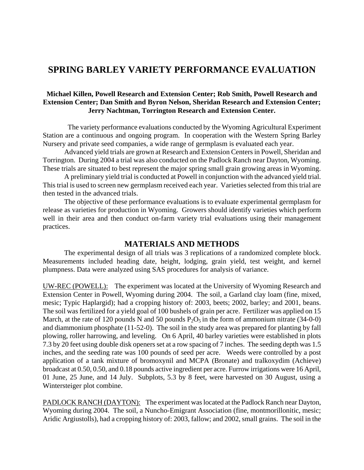## **SPRING BARLEY VARIETY PERFORMANCE EVALUATION**

## **Michael Killen, Powell Research and Extension Center; Rob Smith, Powell Research and Extension Center; Dan Smith and Byron Nelson, Sheridan Research and Extension Center; Jerry Nachtman, Torrington Research and Extension Center.**

 The variety performance evaluations conducted by the Wyoming Agricultural Experiment Station are a continuous and ongoing program. In cooperation with the Western Spring Barley Nursery and private seed companies, a wide range of germplasm is evaluated each year.

Advanced yield trials are grown at Research and Extension Centers in Powell, Sheridan and Torrington. During 2004 a trial was also conducted on the Padlock Ranch near Dayton, Wyoming. These trials are situated to best represent the major spring small grain growing areas in Wyoming.

A preliminary yield trial is conducted at Powell in conjunction with the advanced yield trial. This trial is used to screen new germplasm received each year. Varieties selected from this trial are then tested in the advanced trials.

The objective of these performance evaluations is to evaluate experimental germplasm for release as varieties for production in Wyoming. Growers should identify varieties which perform well in their area and then conduct on-farm variety trial evaluations using their management practices.

## **MATERIALS AND METHODS**

The experimental design of all trials was 3 replications of a randomized complete block. Measurements included heading date, height, lodging, grain yield, test weight, and kernel plumpness. Data were analyzed using SAS procedures for analysis of variance.

UW-REC (POWELL): The experiment was located at the University of Wyoming Research and Extension Center in Powell, Wyoming during 2004. The soil, a Garland clay loam (fine, mixed, mesic; Typic Haplargid); had a cropping history of: 2003, beets; 2002, barley; and 2001, beans. The soil was fertilized for a yield goal of 100 bushels of grain per acre. Fertilizer was applied on 15 March, at the rate of 120 pounds N and 50 pounds  $P_2O_5$  in the form of ammonium nitrate (34-0-0) and diammonium phosphate (11-52-0). The soil in the study area was prepared for planting by fall plowing, roller harrowing, and leveling. On 6 April, 40 barley varieties were established in plots 7.3 by 20 feet using double disk openers set at a row spacing of 7 inches. The seeding depth was 1.5 inches, and the seeding rate was 100 pounds of seed per acre. Weeds were controlled by a post application of a tank mixture of bromoxynil and MCPA (Bronate) and tralkoxydim (Achieve) broadcast at 0.50, 0.50, and 0.18 pounds active ingredient per acre. Furrow irrigations were 16 April, 01 June, 25 June, and 14 July. Subplots, 5.3 by 8 feet, were harvested on 30 August, using a Wintersteiger plot combine.

PADLOCK RANCH (DAYTON): The experiment was located at the Padlock Ranch near Dayton, Wyoming during 2004. The soil, a Nuncho-Emigrant Association (fine, montmorillonitic, mesic; Aridic Argiustolls), had a cropping history of: 2003, fallow; and 2002, small grains. The soil in the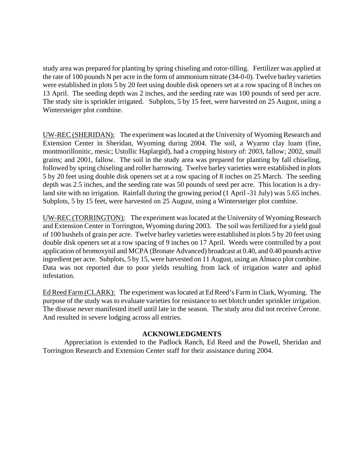study area was prepared for planting by spring chiseling and rotor-tilling. Fertilizer was applied at the rate of 100 pounds N per acre in the form of ammonium nitrate (34-0-0). Twelve barley varieties were established in plots 5 by 20 feet using double disk openers set at a row spacing of 8 inches on 13 April. The seeding depth was 2 inches, and the seeding rate was 100 pounds of seed per acre. The study site is sprinkler irrigated. Subplots, 5 by 15 feet, were harvested on 25 August, using a Wintersteiger plot combine.

UW-REC (SHERIDAN): The experiment was located at the University of Wyoming Research and Extension Center in Sheridan, Wyoming during 2004. The soil, a Wyarno clay loam (fine, montmorillonitic, mesic; Ustollic Haplargid), had a cropping history of: 2003, fallow; 2002, small grains; and 2001, fallow. The soil in the study area was prepared for planting by fall chiseling, followed by spring chiseling and roller harrowing. Twelve barley varieties were established in plots 5 by 20 feet using double disk openers set at a row spacing of 8 inches on 25 March. The seeding depth was 2.5 inches, and the seeding rate was 50 pounds of seed per acre. This location is a dryland site with no irrigation. Rainfall during the growing period (1 April -31 July) was 5.65 inches. Subplots, 5 by 15 feet, were harvested on 25 August, using a Wintersteiger plot combine.

UW-REC (TORRINGTON): The experiment was located at the University of Wyoming Research and Extension Center in Torrington, Wyoming during 2003. The soil was fertilized for a yield goal of 100 bushels of grain per acre. Twelve barley varieties were established in plots 5 by 20 feet using double disk openers set at a row spacing of 9 inches on 17 April. Weeds were controlled by a post application of bromoxynil and MCPA (Bronate Advanced) broadcast at 0.40, and 0.40 pounds active ingredient per acre. Subplots, 5 by 15, were harvested on 11 August, using an Almaco plot combine. Data was not reported due to poor yields resulting from lack of irrigation water and aphid infestation.

Ed Reed Farm (CLARK): The experiment was located at Ed Reed's Farm in Clark, Wyoming. The purpose of the study was to evaluate varieties for resistance to net blotch under sprinkler irrigation. The disease never manifested itself until late in the season. The study area did not receive Cerone. And resulted in severe lodging across all entries.

## **ACKNOWLEDGMENTS**

Appreciation is extended to the Padlock Ranch, Ed Reed and the Powell, Sheridan and Torrington Research and Extension Center staff for their assistance during 2004.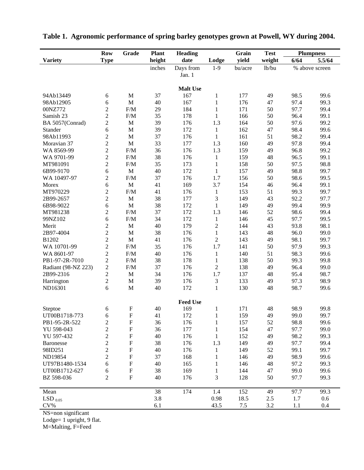|                     | <b>Row</b>              | Grade                     | <b>Plant</b> | Heading             |                | Grain   | <b>Test</b> |      | <b>Plumpness</b> |
|---------------------|-------------------------|---------------------------|--------------|---------------------|----------------|---------|-------------|------|------------------|
| <b>Variety</b>      | <b>Type</b>             |                           | height       | date                | Lodge          | yield   | weight      | 6/64 | 5.5/64           |
|                     |                         |                           | inches       | Days from<br>Jan. 1 | $1-9$          | bu/acre | lb/bu       |      | % above screen   |
|                     |                         |                           |              | <b>Malt Use</b>     |                |         |             |      |                  |
| 94Ab13449           | 6                       | M                         | 37           | 167                 | $\mathbf{1}$   | 177     | 49          | 98.5 | 99.6             |
| 98Ab12905           | 6                       | $\mathbf M$               | 40           | 167                 | $\,1$          | 176     | 47          | 97.4 | 99.3             |
| 00NZ772             | $\overline{2}$          | $\rm F/M$                 | 29           | 184                 | $\mathbf{1}$   | 171     | 50          | 97.7 | 99.4             |
| Samish 23           | $\overline{c}$          | F/M                       | 35           | 178                 | $\mathbf{1}$   | 166     | 50          | 96.4 | 99.1             |
| BA 5057(Conrad)     | $\overline{c}$          | $\mathbf M$               | 39           | 176                 | 1.3            | 164     | 50          | 97.6 | 99.2             |
| Stander             | 6                       | M                         | 39           | 172                 | $\mathbf{1}$   | 162     | 47          | 98.4 | 99.6             |
| 98Ab11993           | $\overline{c}$          | M                         | 37           | 176                 | $\mathbf{1}$   | 161     | 51          | 98.2 | 99.4             |
| Moravian 37         | $\overline{c}$          | $\mathbf M$               | 33           | 177                 | 1.3            | 160     | 49          | 97.8 | 99.4             |
| WA 8569-99          | $\overline{c}$          | F/M                       | 36           | 176                 | 1.3            | 159     | 49          | 96.8 | 99.2             |
| WA 9701-99          | $\overline{c}$          | F/M                       | 38           | 176                 | $\mathbf{1}$   | 159     | 48          | 96.5 | 99.1             |
| MT981091            | $\overline{c}$          | $\rm F/M$                 | 35           | 173                 | $\mathbf{1}$   | 158     | 50          | 97.5 | 98.8             |
| 6B99-9170           | 6                       | $\mathbf M$               | 40           | 172                 | $\mathbf{1}$   | 157     | 49          | 98.8 | 99.7             |
| WA 10497-97         | $\overline{c}$          | $\rm F/M$                 | 37           | 176                 | 1.7            | 156     | 50          | 98.6 | 99.5             |
| Morex               | 6                       | $\mathbf M$               | 41           | 169                 | 3.7            | 154     | 46          | 96.4 | 99.1             |
| MT970229            | $\overline{c}$          | F/M                       | 41           | 176                 | $\mathbf{1}$   | 153     | 51          | 99.3 | 99.7             |
| 2B99-2657           | $\overline{c}$          | $\mathbf M$               | 38           | 177                 | 3              | 149     | 43          | 92.2 | 97.7             |
| 6B98-9022           | 6                       | $\mathbf M$               | 38           | 172                 | $\mathbf{1}$   | 149     | 49          | 99.4 | 99.9             |
| MT981238            | $\overline{c}$          | $\rm F/M$                 | 37           | 172                 | 1.3            | 146     | 52          | 98.6 | 99.4             |
| 99NZ102             | 6                       | $\rm F/M$                 | 34           | 172                 | $\mathbf{1}$   | 146     | 45          | 97.7 | 99.5             |
| Merit               | $\overline{c}$          | M                         | 40           | 179                 | $\overline{c}$ | 144     | 43          | 93.8 | 98.1             |
| 2B97-4004           | $\overline{2}$          | M                         | 38           | 176                 | $\mathbf{1}$   | 143     | 48          | 96.0 | 99.0             |
| B1202               | $\overline{c}$          | $\mathbf{M}$              | 41           | 176                 | $\overline{c}$ | 143     | 49          | 98.1 | 99.7             |
| WA 10701-99         | $\overline{c}$          | F/M                       | 35           | 176                 | 1.7            | 141     | 50          | 97.9 | 99.3             |
| WA 8601-97          | $\overline{c}$          | $\rm F/M$                 | 40           | 176                 | $\mathbf{1}$   | 140     | 51          | 98.3 | 99.6             |
| PB1-97-2R-7010      | $\overline{2}$          | F/M                       | 38           | 178                 | $\mathbf{1}$   | 138     | 50          | 99.3 | 99.8             |
| Radiant (98-NZ 223) | $\overline{c}$          | ${\rm F/M}$               | 37           | 176                 | $\overline{c}$ | 138     | 49          | 96.4 | 99.0             |
| 2B99-2316           | $\overline{c}$          | $\mathbf M$               | 34           | 176                 | 1.7            | 137     | 48          | 95.4 | 98.7             |
| Harrington          | $\overline{c}$          | $\mathbf M$               | 39           | 176                 | 3              | 133     | 49          | 97.3 | 98.9             |
| ND16301             | 6                       | $\mathbf{M}$              | 40           | 172                 | $\mathbf{1}$   | 130     | 48          | 98.7 | 99.6             |
|                     |                         |                           |              | <b>Feed Use</b>     |                |         |             |      |                  |
| Steptoe             | 6                       | $\mathbf F$               | 40           | 169                 | $\mathbf{1}$   | 171     | 48          | 98.9 | 99.8             |
| UT00B1718-773       | 6                       | ${\bf F}$                 | 41           | 172                 | $\mathbf{1}$   | 159     | 49          | 99.0 | 99.7             |
| PB1-95-2R-522       | $\overline{\mathbf{c}}$ | ${\bf F}$                 | 36           | 176                 | $\mathbf{1}$   | 157     | 52          | 98.8 | 99.6             |
| YU 598-043          | $\overline{c}$          | $\boldsymbol{\mathrm{F}}$ | 36           | 177                 | $\mathbf{1}$   | 154     | 47          | 97.7 | 99.0             |
| YU 597-432          | $\overline{c}$          | $\boldsymbol{\mathrm{F}}$ | 40           | 176                 | 1              | 152     | 49          | 98.2 | 99.3             |
| Baronesse           | $\overline{c}$          | $\boldsymbol{\mathrm{F}}$ | 38           | 176                 | 1.3            | 149     | 49          | 97.7 | 99.4             |
| 98ID251             | $\overline{2}$          | $\mathbf{F}$              | 40           | 176                 | $\mathbf{1}$   | 149     | 52          | 99.1 | 99.7             |
| ND19854             | $\overline{c}$          | $\mathbf F$               | 37           | 168                 | 1              | 146     | 49          | 98.9 | 99.6             |
| UT97B1480-1534      | 6                       | $\boldsymbol{\mathrm{F}}$ | 40           | 165                 | $\mathbf{1}$   | 146     | 48          | 97.2 | 99.3             |
| UT00B1712-627       | 6                       | $\boldsymbol{\mathrm{F}}$ | 38           | 169                 | $\mathbf{1}$   | 144     | 47          | 99.0 | 99.6             |
| BZ 598-036          | 2                       | ${\bf F}$                 | 40           | 176                 | 3              | 128     | 50          | 97.7 | 99.3             |
| Mean                |                         |                           | 38           | 174                 | 1.4            | 152     | 49          | 97.7 | 99.3             |
| LSD $_{0.05}$       |                         |                           | 3.8          |                     | 0.98           | 18.5    | 2.5         | 1.7  | 0.6              |
| $CV\%$              |                         |                           | 6.1          |                     | 43.5           | 7.5     | 3.2         | 1.1  | 0.4              |

**Table 1. Agronomic performance of spring barley genotypes grown at Powell, WY during 2004.** 

Lodge= 1 upright, 9 flat.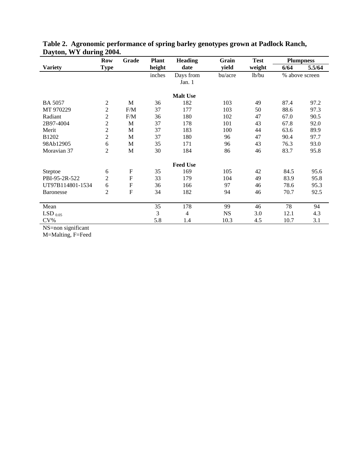|                  | Row            | Grade                     | <b>Plant</b> | <b>Heading</b>  | Grain     | <b>Test</b>        | <b>Plumpness</b> |        |
|------------------|----------------|---------------------------|--------------|-----------------|-----------|--------------------|------------------|--------|
| <b>Variety</b>   | <b>Type</b>    |                           | height       | date            | yield     | weight             | 6/64             | 5.5/64 |
|                  |                |                           | inches       | Days from       | bu/acre   | 1 <sub>b</sub> /bu | % above screen   |        |
|                  |                |                           |              | Jan. 1          |           |                    |                  |        |
|                  |                |                           |              |                 |           |                    |                  |        |
|                  |                |                           |              | <b>Malt Use</b> |           |                    |                  |        |
| <b>BA 5057</b>   | $\overline{c}$ | $\mathbf M$               | 36           | 182             | 103       | 49                 | 87.4             | 97.2   |
| MT 970229        | $\overline{2}$ | F/M                       | 37           | 177             | 103       | 50                 | 88.6             | 97.3   |
| Radiant          | $\overline{c}$ | F/M                       | 36           | 180             | 102       | 47                 | 67.0             | 90.5   |
| 2B97-4004        | $\overline{2}$ | $\mathbf M$               | 37           | 178             | 101       | 43                 | 67.8             | 92.0   |
| Merit            | $\overline{2}$ | $\mathbf M$               | 37           | 183             | 100       | 44                 | 63.6             | 89.9   |
| B1202            | $\overline{c}$ | M                         | 37           | 180             | 96        | 47                 | 90.4             | 97.7   |
| 98Ab12905        | 6              | M                         | 35           | 171             | 96        | 43                 | 76.3             | 93.0   |
| Moravian 37      | $\overline{c}$ | M                         | 30           | 184             | 86        | 46                 | 83.7             | 95.8   |
|                  |                |                           |              |                 |           |                    |                  |        |
|                  |                |                           |              | <b>Feed Use</b> |           |                    |                  |        |
| Steptoe          | 6              | $\boldsymbol{\mathrm{F}}$ | 35           | 169             | 105       | 42                 | 84.5             | 95.6   |
| PBI-95-2R-522    | $\overline{2}$ | $\mathbf F$               | 33           | 179             | 104       | 49                 | 83.9             | 95.8   |
| UT97B114801-1534 | 6              | ${\bf F}$                 | 36           | 166             | 97        | 46                 | 78.6             | 95.3   |
| <b>Baronesse</b> | $\overline{2}$ | $\overline{F}$            | 34           | 182             | 94        | 46                 | 70.7             | 92.5   |
|                  |                |                           |              |                 |           |                    |                  |        |
| Mean             |                |                           | 35           | 178             | 99        | 46                 | 78               | 94     |
| LSD $_{0.05}$    |                |                           | 3            | $\overline{4}$  | <b>NS</b> | 3.0                | 12.1             | 4.3    |
| $CV\%$           |                |                           | 5.8          | 1.4             | 10.3      | 4.5                | 10.7             | 3.1    |

**Table 2. Agronomic performance of spring barley genotypes grown at Padlock Ranch, Dayton, WY during 2004.**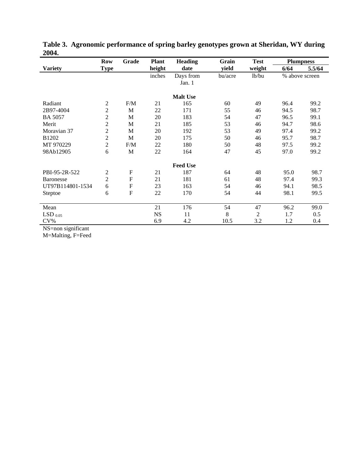|                  | <b>Row</b>     | Grade       | <b>Plant</b> | <b>Heading</b>      | Grain   | <b>Test</b>        | <b>Plumpness</b> |                |
|------------------|----------------|-------------|--------------|---------------------|---------|--------------------|------------------|----------------|
| <b>Variety</b>   | <b>Type</b>    |             | height       | date                | yield   | weight             | 6/64             | 5.5/64         |
|                  |                |             | inches       | Days from<br>Jan. 1 | bu/acre | 1 <sub>b</sub> /bu |                  | % above screen |
|                  |                |             |              | <b>Malt Use</b>     |         |                    |                  |                |
| Radiant          | $\overline{2}$ | $\rm F/M$   | 21           | 165                 | 60      | 49                 | 96.4             | 99.2           |
| 2B97-4004        | $\overline{2}$ | M           | 22           | 171                 | 55      | 46                 | 94.5             | 98.7           |
| <b>BA 5057</b>   | $\overline{c}$ | M           | 20           | 183                 | 54      | 47                 | 96.5             | 99.1           |
| Merit            | $\overline{c}$ | M           | 21           | 185                 | 53      | 46                 | 94.7             | 98.6           |
| Moravian 37      | $\overline{c}$ | M           | 20           | 192                 | 53      | 49                 | 97.4             | 99.2           |
| B1202            | $\overline{c}$ | $\mathbf M$ | 20           | 175                 | 50      | 46                 | 95.7             | 98.7           |
| MT 970229        | $\overline{2}$ | F/M         | 22           | 180                 | 50      | 48                 | 97.5             | 99.2           |
| 98Ab12905        | 6              | $\mathbf M$ | 22           | 164                 | 47      | 45                 | 97.0             | 99.2           |
|                  |                |             |              | <b>Feed Use</b>     |         |                    |                  |                |
| PBI-95-2R-522    | $\overline{c}$ | ${\bf F}$   | 21           | 187                 | 64      | 48                 | 95.0             | 98.7           |
| <b>Baronesse</b> | $\overline{2}$ | ${\bf F}$   | 21           | 181                 | 61      | 48                 | 97.4             | 99.3           |
| UT97B114801-1534 | 6              | $\mathbf F$ | 23           | 163                 | 54      | 46                 | 94.1             | 98.5           |
| Steptoe          | 6              | F           | 22           | 170                 | 54      | 44                 | 98.1             | 99.5           |
|                  |                |             |              |                     |         |                    |                  |                |
| Mean             |                |             | 21           | 176                 | 54      | 47                 | 96.2             | 99.0           |
| LSD $_{0.05}$    |                |             | NS           | 11                  | 8       | $\overline{c}$     | 1.7              | 0.5            |
| $CV\%$           |                |             | 6.9          | 4.2                 | 10.5    | 3.2                | 1.2              | 0.4            |

**Table 3. Agronomic performance of spring barley genotypes grown at Sheridan, WY during 2004.**